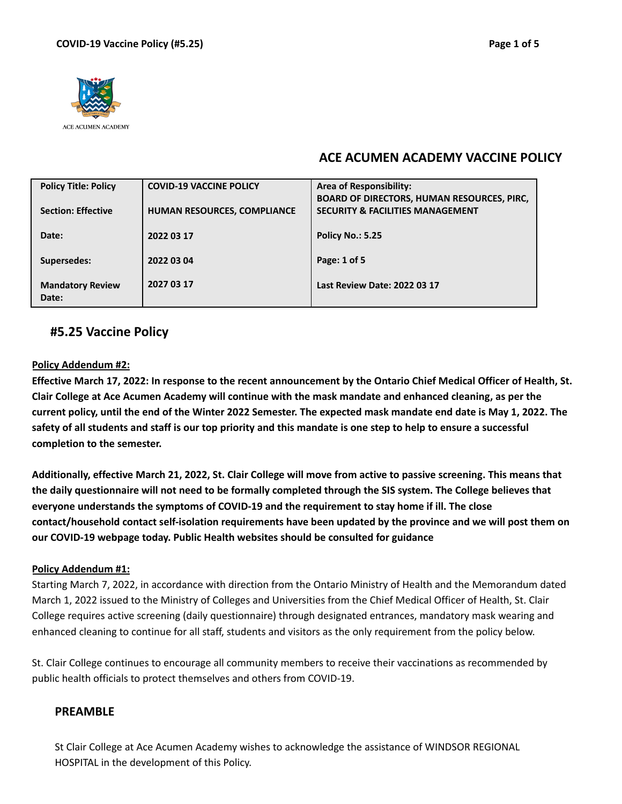

# **ACE ACUMEN ACADEMY VACCINE POLICY**

| <b>Policy Title: Policy</b>      | <b>COVID-19 VACCINE POLICY</b> | <b>Area of Responsibility:</b>                                                                   |
|----------------------------------|--------------------------------|--------------------------------------------------------------------------------------------------|
| <b>Section: Effective</b>        | HUMAN RESOURCES, COMPLIANCE    | <b>BOARD OF DIRECTORS, HUMAN RESOURCES, PIRC,</b><br><b>SECURITY &amp; FACILITIES MANAGEMENT</b> |
| Date:                            | 2022 03 17                     | <b>Policy No.: 5.25</b>                                                                          |
| Supersedes:                      | 2022 03 04                     | Page: 1 of 5                                                                                     |
| <b>Mandatory Review</b><br>Date: | 2027 03 17                     | Last Review Date: 2022 03 17                                                                     |

### **#5.25 Vaccine Policy**

#### **Policy Addendum #2:**

Effective March 17, 2022: In response to the recent announcement by the Ontario Chief Medical Officer of Health, St. Clair College at Ace Acumen Academy will continue with the mask mandate and enhanced cleaning, as per the current policy, until the end of the Winter 2022 Semester. The expected mask mandate end date is May 1, 2022. The safety of all students and staff is our top priority and this mandate is one step to help to ensure a successful **completion to the semester.**

Additionally, effective March 21, 2022, St. Clair College will move from active to passive screening. This means that the daily questionnaire will not need to be formally completed through the SIS system. The College believes that **everyone understands the symptoms of COVID-19 and the requirement to stay home if ill. The close contact/household contact self-isolation requirements have been updated by the province and we will post them on our COVID-19 webpage today. Public Health websites should be consulted for guidance**

#### **Policy Addendum #1:**

Starting March 7, 2022, in accordance with direction from the Ontario Ministry of Health and the Memorandum dated March 1, 2022 issued to the Ministry of Colleges and Universities from the Chief Medical Officer of Health, St. Clair College requires active screening (daily questionnaire) through designated entrances, mandatory mask wearing and enhanced cleaning to continue for all staff, students and visitors as the only requirement from the policy below.

St. Clair College continues to encourage all community members to receive their vaccinations as recommended by public health officials to protect themselves and others from COVID-19.

#### **PREAMBLE**

St Clair College at Ace Acumen Academy wishes to acknowledge the assistance of WINDSOR REGIONAL HOSPITAL in the development of this Policy.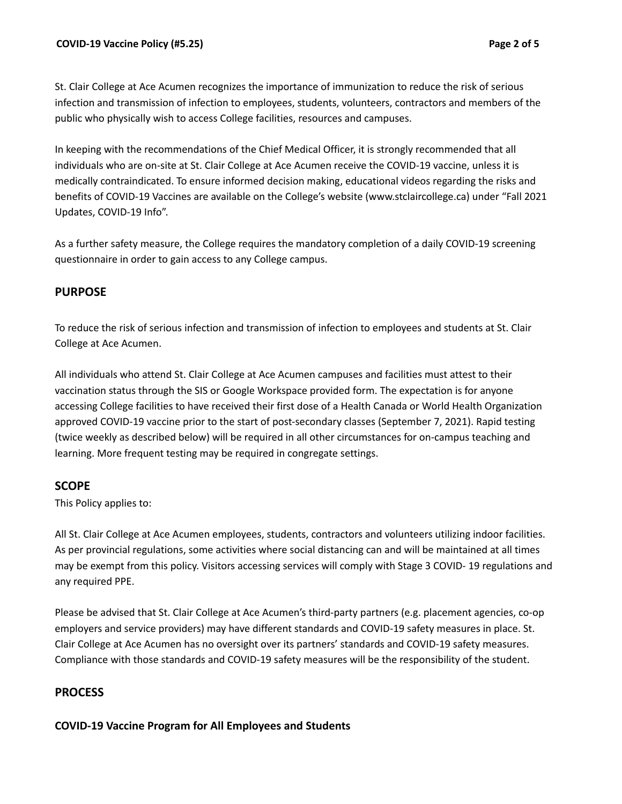St. Clair College at Ace Acumen recognizes the importance of immunization to reduce the risk of serious infection and transmission of infection to employees, students, volunteers, contractors and members of the public who physically wish to access College facilities, resources and campuses.

In keeping with the recommendations of the Chief Medical Officer, it is strongly recommended that all individuals who are on-site at St. Clair College at Ace Acumen receive the COVID-19 vaccine, unless it is medically contraindicated. To ensure informed decision making, educational videos regarding the risks and benefits of COVID-19 Vaccines are available on the College's website (www.stclaircollege.ca) under "Fall 2021 Updates, COVID-19 Info".

As a further safety measure, the College requires the mandatory completion of a daily COVID-19 screening questionnaire in order to gain access to any College campus.

### **PURPOSE**

To reduce the risk of serious infection and transmission of infection to employees and students at St. Clair College at Ace Acumen.

All individuals who attend St. Clair College at Ace Acumen campuses and facilities must attest to their vaccination status through the SIS or Google Workspace provided form. The expectation is for anyone accessing College facilities to have received their first dose of a Health Canada or World Health Organization approved COVID-19 vaccine prior to the start of post-secondary classes (September 7, 2021). Rapid testing (twice weekly as described below) will be required in all other circumstances for on-campus teaching and learning. More frequent testing may be required in congregate settings.

### **SCOPE**

This Policy applies to:

All St. Clair College at Ace Acumen employees, students, contractors and volunteers utilizing indoor facilities. As per provincial regulations, some activities where social distancing can and will be maintained at all times may be exempt from this policy. Visitors accessing services will comply with Stage 3 COVID- 19 regulations and any required PPE.

Please be advised that St. Clair College at Ace Acumen's third-party partners (e.g. placement agencies, co-op employers and service providers) may have different standards and COVID-19 safety measures in place. St. Clair College at Ace Acumen has no oversight over its partners' standards and COVID-19 safety measures. Compliance with those standards and COVID-19 safety measures will be the responsibility of the student.

## **PROCESS**

**COVID-19 Vaccine Program for All Employees and Students**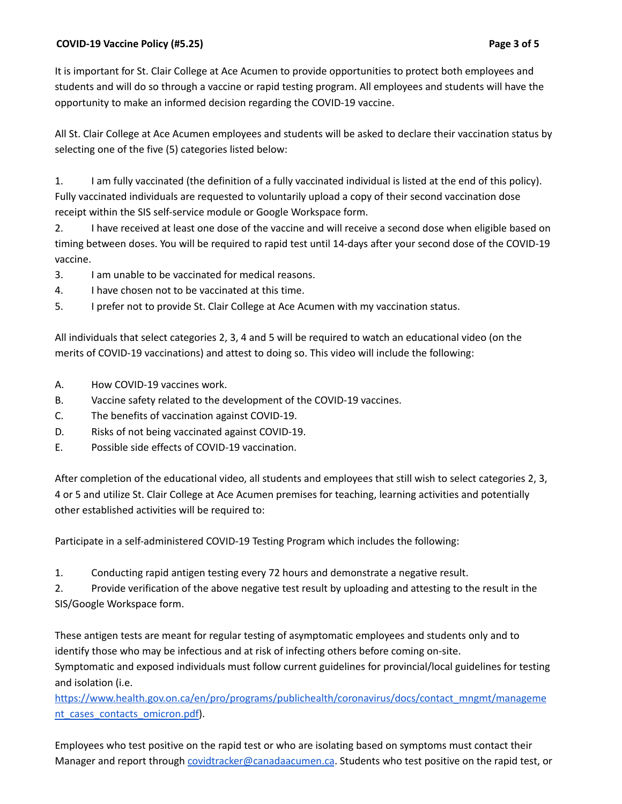It is important for St. Clair College at Ace Acumen to provide opportunities to protect both employees and students and will do so through a vaccine or rapid testing program. All employees and students will have the opportunity to make an informed decision regarding the COVID-19 vaccine.

All St. Clair College at Ace Acumen employees and students will be asked to declare their vaccination status by selecting one of the five (5) categories listed below:

1. I am fully vaccinated (the definition of a fully vaccinated individual is listed at the end of this policy). Fully vaccinated individuals are requested to voluntarily upload a copy of their second vaccination dose receipt within the SIS self-service module or Google Workspace form.

2. I have received at least one dose of the vaccine and will receive a second dose when eligible based on timing between doses. You will be required to rapid test until 14-days after your second dose of the COVID-19 vaccine.

3. I am unable to be vaccinated for medical reasons.

4. I have chosen not to be vaccinated at this time.

5. I prefer not to provide St. Clair College at Ace Acumen with my vaccination status.

All individuals that select categories 2, 3, 4 and 5 will be required to watch an educational video (on the merits of COVID-19 vaccinations) and attest to doing so. This video will include the following:

- A. How COVID-19 vaccines work.
- B. Vaccine safety related to the development of the COVID-19 vaccines.
- C. The benefits of vaccination against COVID-19.
- D. Risks of not being vaccinated against COVID-19.
- E. Possible side effects of COVID-19 vaccination.

After completion of the educational video, all students and employees that still wish to select categories 2, 3, 4 or 5 and utilize St. Clair College at Ace Acumen premises for teaching, learning activities and potentially other established activities will be required to:

Participate in a self-administered COVID-19 Testing Program which includes the following:

1. Conducting rapid antigen testing every 72 hours and demonstrate a negative result.

2. Provide verification of the above negative test result by uploading and attesting to the result in the SIS/Google Workspace form.

These antigen tests are meant for regular testing of asymptomatic employees and students only and to identify those who may be infectious and at risk of infecting others before coming on-site. Symptomatic and exposed individuals must follow current guidelines for provincial/local guidelines for testing and isolation (i.e.

[https://www.health.gov.on.ca/en/pro/programs/publichealth/coronavirus/docs/contact\\_mngmt/manageme](https://www.health.gov.on.ca/en/pro/programs/publichealth/coronavirus/docs/contact_mngmt/manageme) [nt\\_cases\\_contacts\\_omicron.pdf\)](https://www.health.gov.on.ca/en/pro/programs/publichealth/coronavirus/docs/contact_mngmt/manageme).

Employees who test positive on the rapid test or who are isolating based on symptoms must contact their Manager and report through [covidtracker@canadaacumen.ca](mailto:covidtracker@canadaacumen.ca). Students who test positive on the rapid test, or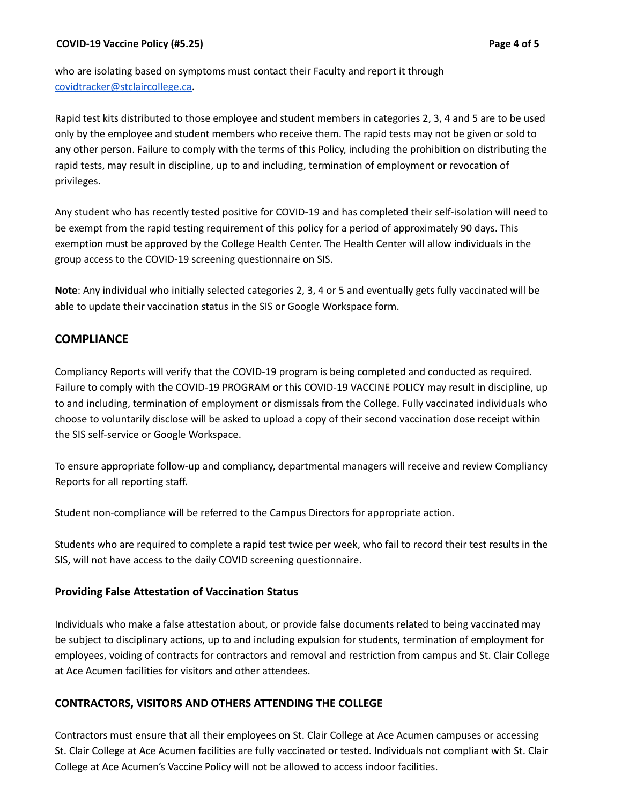who are isolating based on symptoms must contact their Faculty and report it through [covidtracker@stclaircollege.ca.](mailto:covidtracker@stclaircollege.ca)

Rapid test kits distributed to those employee and student members in categories 2, 3, 4 and 5 are to be used only by the employee and student members who receive them. The rapid tests may not be given or sold to any other person. Failure to comply with the terms of this Policy, including the prohibition on distributing the rapid tests, may result in discipline, up to and including, termination of employment or revocation of privileges.

Any student who has recently tested positive for COVID-19 and has completed their self-isolation will need to be exempt from the rapid testing requirement of this policy for a period of approximately 90 days. This exemption must be approved by the College Health Center. The Health Center will allow individuals in the group access to the COVID-19 screening questionnaire on SIS.

**Note**: Any individual who initially selected categories 2, 3, 4 or 5 and eventually gets fully vaccinated will be able to update their vaccination status in the SIS or Google Workspace form.

# **COMPLIANCE**

Compliancy Reports will verify that the COVID-19 program is being completed and conducted as required. Failure to comply with the COVID-19 PROGRAM or this COVID-19 VACCINE POLICY may result in discipline, up to and including, termination of employment or dismissals from the College. Fully vaccinated individuals who choose to voluntarily disclose will be asked to upload a copy of their second vaccination dose receipt within the SIS self-service or Google Workspace.

To ensure appropriate follow-up and compliancy, departmental managers will receive and review Compliancy Reports for all reporting staff.

Student non-compliance will be referred to the Campus Directors for appropriate action.

Students who are required to complete a rapid test twice per week, who fail to record their test results in the SIS, will not have access to the daily COVID screening questionnaire.

### **Providing False Attestation of Vaccination Status**

Individuals who make a false attestation about, or provide false documents related to being vaccinated may be subject to disciplinary actions, up to and including expulsion for students, termination of employment for employees, voiding of contracts for contractors and removal and restriction from campus and St. Clair College at Ace Acumen facilities for visitors and other attendees.

### **CONTRACTORS, VISITORS AND OTHERS ATTENDING THE COLLEGE**

Contractors must ensure that all their employees on St. Clair College at Ace Acumen campuses or accessing St. Clair College at Ace Acumen facilities are fully vaccinated or tested. Individuals not compliant with St. Clair College at Ace Acumen's Vaccine Policy will not be allowed to access indoor facilities.